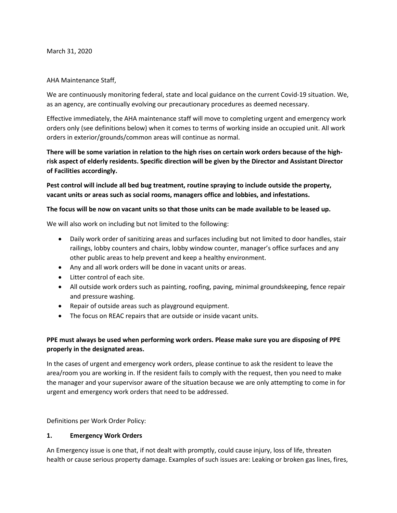March 31, 2020

## AHA Maintenance Staff,

We are continuously monitoring federal, state and local guidance on the current Covid-19 situation. We, as an agency, are continually evolving our precautionary procedures as deemed necessary.

Effective immediately, the AHA maintenance staff will move to completing urgent and emergency work orders only (see definitions below) when it comes to terms of working inside an occupied unit. All work orders in exterior/grounds/common areas will continue as normal.

**There will be some variation in relation to the high rises on certain work orders because of the highrisk aspect of elderly residents. Specific direction will be given by the Director and Assistant Director of Facilities accordingly.** 

**Pest control will include all bed bug treatment, routine spraying to include outside the property, vacant units or areas such as social rooms, managers office and lobbies, and infestations.**

#### **The focus will be now on vacant units so that those units can be made available to be leased up.**

We will also work on including but not limited to the following:

- Daily work order of sanitizing areas and surfaces including but not limited to door handles, stair railings, lobby counters and chairs, lobby window counter, manager's office surfaces and any other public areas to help prevent and keep a healthy environment.
- Any and all work orders will be done in vacant units or areas.
- Litter control of each site.
- All outside work orders such as painting, roofing, paving, minimal groundskeeping, fence repair and pressure washing.
- Repair of outside areas such as playground equipment.
- The focus on REAC repairs that are outside or inside vacant units.

# **PPE must always be used when performing work orders. Please make sure you are disposing of PPE properly in the designated areas.**

In the cases of urgent and emergency work orders, please continue to ask the resident to leave the area/room you are working in. If the resident fails to comply with the request, then you need to make the manager and your supervisor aware of the situation because we are only attempting to come in for urgent and emergency work orders that need to be addressed.

Definitions per Work Order Policy:

## **1. Emergency Work Orders**

An Emergency issue is one that, if not dealt with promptly, could cause injury, loss of life, threaten health or cause serious property damage. Examples of such issues are: Leaking or broken gas lines, fires,